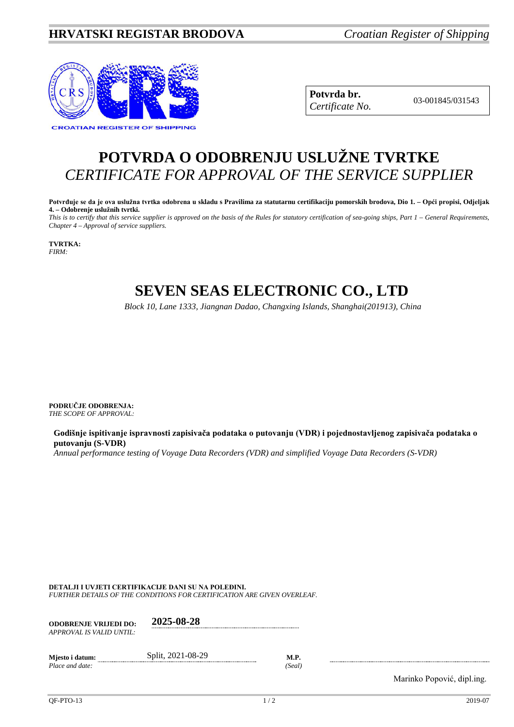### **HRVATSKI REGISTAR BRODOVA** *Croatian Register of Shipping*



**Potvrda br.** 03-001845/031543 *Certificate No.*

# **POTVRDA O ODOBRENJU USLUŽNE TVRTKE** *CERTIFICATE FOR APPROVAL OF THE SERVICE SUPPLIER*

**Potvrđuje se da je ova uslužna tvrtka odobrena u skladu s Pravilima za statutarnu certifikaciju pomorskih brodova, Dio 1. – Opći propisi, Odjeljak 4. – Odobrenje uslužnih tvrtki.**

*This is to certify that this service supplier is approved on the basis of the Rules for statutory certification of sea-going ships, Part 1 – General Requirements, Chapter 4 – Approval of service suppliers.*

**TVRTKA:** *FIRM:*

# **SEVEN SEAS ELECTRONIC CO., LTD**

*Block 10, Lane 1333, Jiangnan Dadao, Changxing Islands, Shanghai(201913), China*

**PODRUČJE ODOBRENJA:** *THE SCOPE OF APPROVAL:*

**Godišnje ispitivanje ispravnosti zapisivača podataka o putovanju (VDR) i pojednostavljenog zapisivača podataka o putovanju (S-VDR)**

*Annual performance testing of Voyage Data Recorders (VDR) and simplified Voyage Data Recorders (S-VDR)*

**DETALJI I UVJETI CERTIFIKACIJE DANI SU NA POLEĐINI.**

*FURTHER DETAILS OF THE CONDITIONS FOR CERTIFICATION ARE GIVEN OVERLEAF.*

| <b>ODOBRENJE VRLJEDI DO:</b><br>APPROVAL IS VALID UNTIL: | 2025-08-28        |                       |
|----------------------------------------------------------|-------------------|-----------------------|
| Miesto i datum:<br>Place and date:                       | Split, 2021-08-29 | <b>M.P.</b><br>(Seal) |

Marinko Popović, dipl.ing.